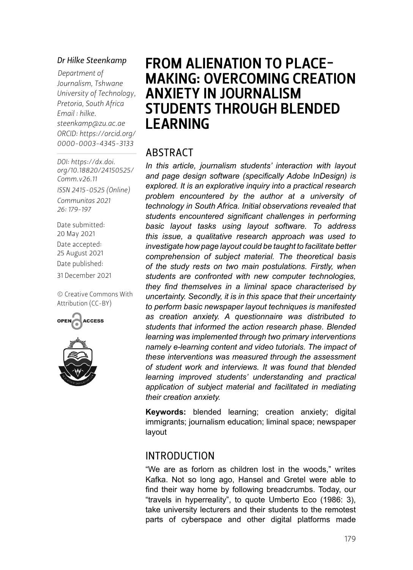#### *Dr Hilke Steenkamp*

*Department of Journalism, Tshwane University of Technology, Pretoria, South Africa Email : [hilke.](mailto:hilke.steenkamp@zu.ac.ae) [steenkamp@zu.ac.ae](mailto:hilke.steenkamp@zu.ac.ae) ORCID: [https://orcid.org/](https://orcid.org/0000-0003-4345-3133) 0000-0003-4345-3133*

*DOI: [https://dx.doi.](https://dx.doi.org/10.18820/24150525/Comm.v26.11) [org/10.18820/24150525/](https://dx.doi.org/10.18820/24150525/Comm.v26.11) [Comm.v](https://dx.doi.org/10.18820/24150525/Comm.v26.11)26.11 ISSN 2415-0525 (Online) Communitas 2021 26: 179-197* Date submitted: 20 May 2021

Date accepted: 25 August 2021 Date published:

31 December 2021

[© Creative Commons With](https://creativecommons.org/licenses/by/2.0/za/)  [Attribution \(CC-BY\)](https://creativecommons.org/licenses/by/2.0/za/)





# FROM ALIENATION TO PLACE-MAKING: OVERCOMING CREATION ANXIETY IN JOURNALISM STUDENTS THROUGH BLENDED LEARNING

#### ABSTRACT

*In this article, journalism students' interaction with layout and page design software (specifically Adobe InDesign) is explored. It is an explorative inquiry into a practical research problem encountered by the author at a university of technology in South Africa. Initial observations revealed that students encountered significant challenges in performing basic layout tasks using layout software. To address this issue, a qualitative research approach was used to investigate how page layout could be taught to facilitate better comprehension of subject material. The theoretical basis of the study rests on two main postulations. Firstly, when students are confronted with new computer technologies, they find themselves in a liminal space characterised by uncertainty. Secondly, it is in this space that their uncertainty to perform basic newspaper layout techniques is manifested as creation anxiety. A questionnaire was distributed to students that informed the action research phase. Blended learning was implemented through two primary interventions namely e-learning content and video tutorials. The impact of these interventions was measured through the assessment of student work and interviews. It was found that blended learning improved students' understanding and practical application of subject material and facilitated in mediating their creation anxiety.* 

**Keywords:** blended learning; creation anxiety; digital immigrants; journalism education; liminal space; newspaper layout

#### INTRODUCTION

"We are as forlorn as children lost in the woods," writes Kafka. Not so long ago, Hansel and Gretel were able to find their way home by following breadcrumbs. Today, our "travels in hyperreality", to quote Umberto Eco (1986: 3), take university lecturers and their students to the remotest parts of cyberspace and other digital platforms made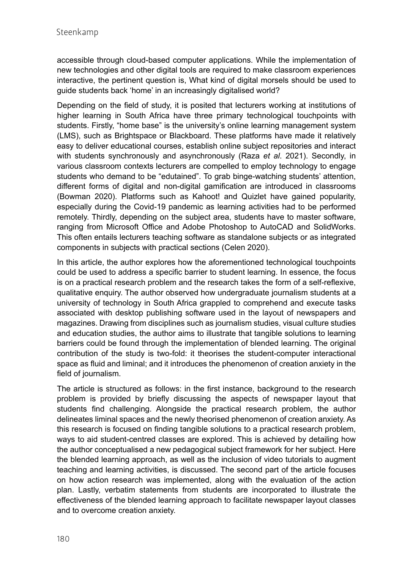accessible through cloud-based computer applications. While the implementation of new technologies and other digital tools are required to make classroom experiences interactive, the pertinent question is, What kind of digital morsels should be used to guide students back 'home' in an increasingly digitalised world?

Depending on the field of study, it is posited that lecturers working at institutions of higher learning in South Africa have three primary technological touchpoints with students. Firstly, "home base" is the university's online learning management system (LMS), such as Brightspace or Blackboard. These platforms have made it relatively easy to deliver educational courses, establish online subject repositories and interact with students synchronously and asynchronously (Raza *et al*. 2021). Secondly, in various classroom contexts lecturers are compelled to employ technology to engage students who demand to be "edutained". To grab binge-watching students' attention, different forms of digital and non-digital gamification are introduced in classrooms (Bowman 2020). Platforms such as Kahoot! and Quizlet have gained popularity, especially during the Covid-19 pandemic as learning activities had to be performed remotely. Thirdly, depending on the subject area, students have to master software, ranging from Microsoft Office and Adobe Photoshop to AutoCAD and SolidWorks. This often entails lecturers teaching software as standalone subjects or as integrated components in subjects with practical sections (Celen 2020).

In this article, the author explores how the aforementioned technological touchpoints could be used to address a specific barrier to student learning. In essence, the focus is on a practical research problem and the research takes the form of a self-reflexive, qualitative enquiry. The author observed how undergraduate journalism students at a university of technology in South Africa grappled to comprehend and execute tasks associated with desktop publishing software used in the layout of newspapers and magazines. Drawing from disciplines such as journalism studies, visual culture studies and education studies, the author aims to illustrate that tangible solutions to learning barriers could be found through the implementation of blended learning. The original contribution of the study is two-fold: it theorises the student-computer interactional space as fluid and liminal; and it introduces the phenomenon of creation anxiety in the field of journalism.

The article is structured as follows: in the first instance, background to the research problem is provided by briefly discussing the aspects of newspaper layout that students find challenging. Alongside the practical research problem, the author delineates liminal spaces and the newly theorised phenomenon of creation anxiety. As this research is focused on finding tangible solutions to a practical research problem, ways to aid student-centred classes are explored. This is achieved by detailing how the author conceptualised a new pedagogical subject framework for her subject. Here the blended learning approach, as well as the inclusion of video tutorials to augment teaching and learning activities, is discussed. The second part of the article focuses on how action research was implemented, along with the evaluation of the action plan. Lastly, verbatim statements from students are incorporated to illustrate the effectiveness of the blended learning approach to facilitate newspaper layout classes and to overcome creation anxiety.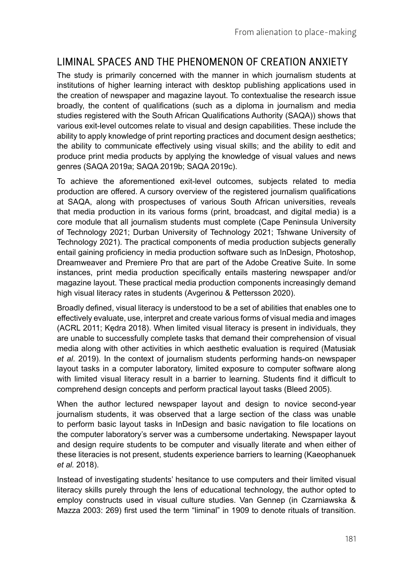## LIMINAL SPACES AND THE PHENOMENON OF CREATION ANXIETY

The study is primarily concerned with the manner in which journalism students at institutions of higher learning interact with desktop publishing applications used in the creation of newspaper and magazine layout. To contextualise the research issue broadly, the content of qualifications (such as a diploma in journalism and media studies registered with the South African Qualifications Authority (SAQA)) shows that various exit-level outcomes relate to visual and design capabilities. These include the ability to apply knowledge of print reporting practices and document design aesthetics; the ability to communicate effectively using visual skills; and the ability to edit and produce print media products by applying the knowledge of visual values and news genres (SAQA 2019a; SAQA 2019b; SAQA 2019c).

To achieve the aforementioned exit-level outcomes, subjects related to media production are offered. A cursory overview of the registered journalism qualifications at SAQA, along with prospectuses of various South African universities, reveals that media production in its various forms (print, broadcast, and digital media) is a core module that all journalism students must complete (Cape Peninsula University of Technology 2021; Durban University of Technology 2021; Tshwane University of Technology 2021). The practical components of media production subjects generally entail gaining proficiency in media production software such as InDesign, Photoshop, Dreamweaver and Premiere Pro that are part of the Adobe Creative Suite. In some instances, print media production specifically entails mastering newspaper and/or magazine layout. These practical media production components increasingly demand high visual literacy rates in students (Avgerinou & Pettersson 2020).

Broadly defined, visual literacy is understood to be a set of abilities that enables one to effectively evaluate, use, interpret and create various forms of visual media and images (ACRL 2011; Kędra 2018). When limited visual literacy is present in individuals, they are unable to successfully complete tasks that demand their comprehension of visual media along with other activities in which aesthetic evaluation is required (Matusiak *et al*. 2019). In the context of journalism students performing hands-on newspaper layout tasks in a computer laboratory, limited exposure to computer software along with limited visual literacy result in a barrier to learning. Students find it difficult to comprehend design concepts and perform practical layout tasks (Bleed 2005).

When the author lectured newspaper layout and design to novice second-year journalism students, it was observed that a large section of the class was unable to perform basic layout tasks in InDesign and basic navigation to file locations on the computer laboratory's server was a cumbersome undertaking. Newspaper layout and design require students to be computer and visually literate and when either of these literacies is not present, students experience barriers to learning (Kaeophanuek *et al.* 2018).

Instead of investigating students' hesitance to use computers and their limited visual literacy skills purely through the lens of educational technology, the author opted to employ constructs used in visual culture studies. Van Gennep (in Czarniawska & Mazza 2003: 269) first used the term "liminal" in 1909 to denote rituals of transition.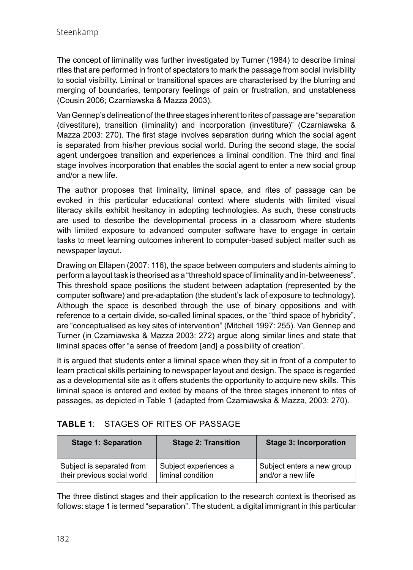The concept of liminality was further investigated by Turner (1984) to describe liminal rites that are performed in front of spectators to mark the passage from social invisibility to social visibility. Liminal or transitional spaces are characterised by the blurring and merging of boundaries, temporary feelings of pain or frustration, and unstableness (Cousin 2006; Czarniawska & Mazza 2003).

Van Gennep's delineation of the three stages inherent to rites of passage are "separation (divestiture), transition (liminality) and incorporation (investiture)" (Czarniawska & Mazza 2003: 270). The first stage involves separation during which the social agent is separated from his/her previous social world. During the second stage, the social agent undergoes transition and experiences a liminal condition. The third and final stage involves incorporation that enables the social agent to enter a new social group and/or a new life.

The author proposes that liminality, liminal space, and rites of passage can be evoked in this particular educational context where students with limited visual literacy skills exhibit hesitancy in adopting technologies. As such, these constructs are used to describe the developmental process in a classroom where students with limited exposure to advanced computer software have to engage in certain tasks to meet learning outcomes inherent to computer-based subject matter such as newspaper layout.

Drawing on Ellapen (2007: 116), the space between computers and students aiming to perform a layout task is theorised as a "threshold space of liminality and in-betweeness". This threshold space positions the student between adaptation (represented by the computer software) and pre-adaptation (the student's lack of exposure to technology). Although the space is described through the use of binary oppositions and with reference to a certain divide, so-called liminal spaces, or the "third space of hybridity", are "conceptualised as key sites of intervention" (Mitchell 1997: 255). Van Gennep and Turner (in Czarniawska & Mazza 2003: 272) argue along similar lines and state that liminal spaces offer "a sense of freedom [and] a possibility of creation".

It is argued that students enter a liminal space when they sit in front of a computer to learn practical skills pertaining to newspaper layout and design. The space is regarded as a developmental site as it offers students the opportunity to acquire new skills. This liminal space is entered and exited by means of the three stages inherent to rites of passages, as depicted in Table 1 (adapted from Czarniawska & Mazza, 2003: 270).

#### **TABLE 1**: STAGES OF RITES OF PASSAGE

| <b>Stage 1: Separation</b>  | <b>Stage 2: Transition</b> | <b>Stage 3: Incorporation</b> |
|-----------------------------|----------------------------|-------------------------------|
| Subject is separated from   | Subject experiences a      | Subject enters a new group    |
| their previous social world | liminal condition          | and/or a new life             |

The three distinct stages and their application to the research context is theorised as follows: stage 1 is termed "separation". The student, a digital immigrant in this particular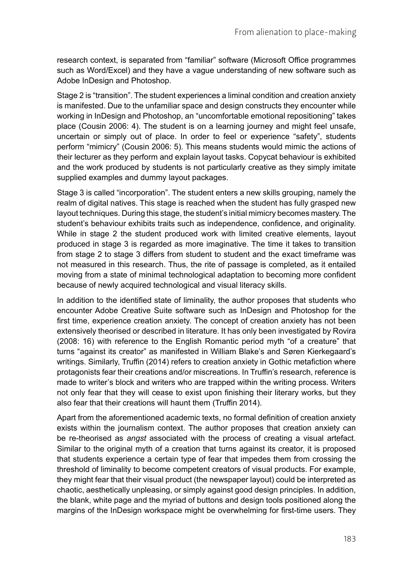research context, is separated from "familiar" software (Microsoft Office programmes such as Word/Excel) and they have a vague understanding of new software such as Adobe InDesign and Photoshop.

Stage 2 is "transition". The student experiences a liminal condition and creation anxiety is manifested. Due to the unfamiliar space and design constructs they encounter while working in InDesign and Photoshop, an "uncomfortable emotional repositioning" takes place (Cousin 2006: 4). The student is on a learning journey and might feel unsafe, uncertain or simply out of place. In order to feel or experience "safety", students perform "mimicry" (Cousin 2006: 5). This means students would mimic the actions of their lecturer as they perform and explain layout tasks. Copycat behaviour is exhibited and the work produced by students is not particularly creative as they simply imitate supplied examples and dummy layout packages.

Stage 3 is called "incorporation". The student enters a new skills grouping, namely the realm of digital natives. This stage is reached when the student has fully grasped new layout techniques. During this stage, the student's initial mimicry becomes mastery. The student's behaviour exhibits traits such as independence, confidence, and originality. While in stage 2 the student produced work with limited creative elements, layout produced in stage 3 is regarded as more imaginative. The time it takes to transition from stage 2 to stage 3 differs from student to student and the exact timeframe was not measured in this research. Thus, the rite of passage is completed, as it entailed moving from a state of minimal technological adaptation to becoming more confident because of newly acquired technological and visual literacy skills.

In addition to the identified state of liminality, the author proposes that students who encounter Adobe Creative Suite software such as InDesign and Photoshop for the first time, experience creation anxiety. The concept of creation anxiety has not been extensively theorised or described in literature. It has only been investigated by Rovira (2008: 16) with reference to the English Romantic period myth "of a creature" that turns "against its creator" as manifested in William Blake's and Søren Kierkegaard's writings. Similarly, Truffin (2014) refers to creation anxiety in Gothic metafiction where protagonists fear their creations and/or miscreations. In Truffin's research, reference is made to writer's block and writers who are trapped within the writing process. Writers not only fear that they will cease to exist upon finishing their literary works, but they also fear that their creations will haunt them (Truffin 2014).

Apart from the aforementioned academic texts, no formal definition of creation anxiety exists within the journalism context. The author proposes that creation anxiety can be re-theorised as *angst* associated with the process of creating a visual artefact. Similar to the original myth of a creation that turns against its creator, it is proposed that students experience a certain type of fear that impedes them from crossing the threshold of liminality to become competent creators of visual products. For example, they might fear that their visual product (the newspaper layout) could be interpreted as chaotic, aesthetically unpleasing, or simply against good design principles. In addition, the blank, white page and the myriad of buttons and design tools positioned along the margins of the InDesign workspace might be overwhelming for first-time users. They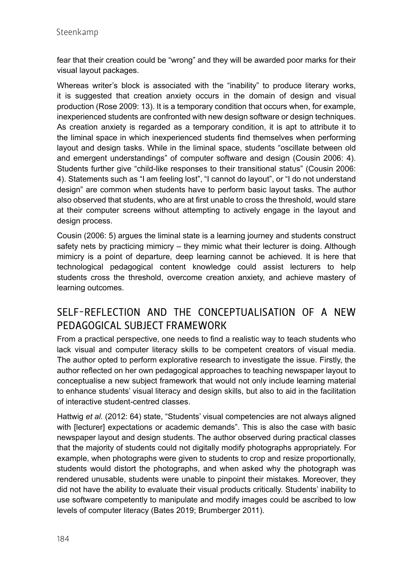fear that their creation could be "wrong" and they will be awarded poor marks for their visual layout packages.

Whereas writer's block is associated with the "inability" to produce literary works, it is suggested that creation anxiety occurs in the domain of design and visual production (Rose 2009: 13). It is a temporary condition that occurs when, for example, inexperienced students are confronted with new design software or design techniques. As creation anxiety is regarded as a temporary condition, it is apt to attribute it to the liminal space in which inexperienced students find themselves when performing layout and design tasks. While in the liminal space, students "oscillate between old and emergent understandings" of computer software and design (Cousin 2006: 4). Students further give "child-like responses to their transitional status" (Cousin 2006: 4). Statements such as "I am feeling lost", "I cannot do layout", or "I do not understand design" are common when students have to perform basic layout tasks. The author also observed that students, who are at first unable to cross the threshold, would stare at their computer screens without attempting to actively engage in the layout and design process.

Cousin (2006: 5) argues the liminal state is a learning journey and students construct safety nets by practicing mimicry – they mimic what their lecturer is doing. Although mimicry is a point of departure, deep learning cannot be achieved. It is here that technological pedagogical content knowledge could assist lecturers to help students cross the threshold, overcome creation anxiety, and achieve mastery of learning outcomes.

## SELF-REFLECTION AND THE CONCEPTUALISATION OF A NEW PEDAGOGICAL SUBJECT FRAMEWORK

From a practical perspective, one needs to find a realistic way to teach students who lack visual and computer literacy skills to be competent creators of visual media. The author opted to perform explorative research to investigate the issue. Firstly, the author reflected on her own pedagogical approaches to teaching newspaper layout to conceptualise a new subject framework that would not only include learning material to enhance students' visual literacy and design skills, but also to aid in the facilitation of interactive student-centred classes.

Hattwig *et al*. (2012: 64) state, "Students' visual competencies are not always aligned with [lecturer] expectations or academic demands". This is also the case with basic newspaper layout and design students. The author observed during practical classes that the majority of students could not digitally modify photographs appropriately. For example, when photographs were given to students to crop and resize proportionally, students would distort the photographs, and when asked why the photograph was rendered unusable, students were unable to pinpoint their mistakes. Moreover, they did not have the ability to evaluate their visual products critically. Students' inability to use software competently to manipulate and modify images could be ascribed to low levels of computer literacy (Bates 2019; Brumberger 2011).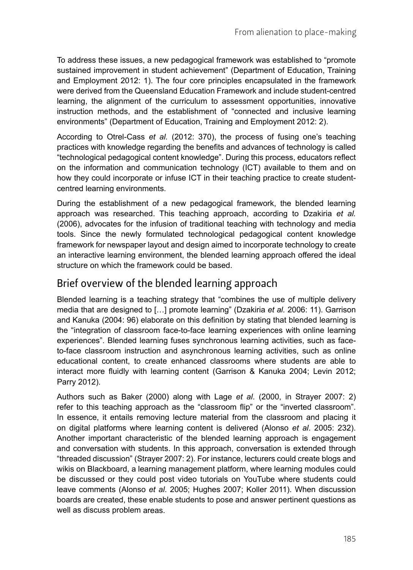To address these issues, a new pedagogical framework was established to "promote sustained improvement in student achievement" (Department of Education, Training and Employment 2012: 1). The four core principles encapsulated in the framework were derived from the Queensland Education Framework and include student-centred learning, the alignment of the curriculum to assessment opportunities, innovative instruction methods, and the establishment of "connected and inclusive learning environments" (Department of Education, Training and Employment 2012: 2).

According to Otrel-Cass *et al.* (2012: 370), the process of fusing one's teaching practices with knowledge regarding the benefits and advances of technology is called "technological pedagogical content knowledge". During this process, educators reflect on the information and communication technology (ICT) available to them and on how they could incorporate or infuse ICT in their teaching practice to create studentcentred learning environments.

During the establishment of a new pedagogical framework, the blended learning approach was researched. This teaching approach, according to Dzakiria *et al.* (2006), advocates for the infusion of traditional teaching with technology and media tools. Since the newly formulated technological pedagogical content knowledge framework for newspaper layout and design aimed to incorporate technology to create an interactive learning environment, the blended learning approach offered the ideal structure on which the framework could be based.

### Brief overview of the blended learning approach

Blended learning is a teaching strategy that "combines the use of multiple delivery media that are designed to […] promote learning" (Dzakiria *et al.* 2006: 11). Garrison and Kanuka (2004: 96) elaborate on this definition by stating that blended learning is the "integration of classroom face-to-face learning experiences with online learning experiences". Blended learning fuses synchronous learning activities, such as faceto-face classroom instruction and asynchronous learning activities, such as online educational content, to create enhanced classrooms where students are able to interact more fluidly with learning content (Garrison & Kanuka 2004; Levin 2012; Parry 2012).

Authors such as Baker (2000) along with Lage *et al*. (2000, in Strayer 2007: 2) refer to this teaching approach as the "classroom flip" or the "inverted classroom". In essence, it entails removing lecture material from the classroom and placing it on digital platforms where learning content is delivered (Alonso *et al*. 2005: 232). Another important characteristic of the blended learning approach is engagement and conversation with students. In this approach, conversation is extended through "threaded discussion" (Strayer 2007: 2). For instance, lecturers could create blogs and wikis on Blackboard, a learning management platform, where learning modules could be discussed or they could post video tutorials on YouTube where students could leave comments (Alonso *et al*. 2005; Hughes 2007; Koller 2011). When discussion boards are created, these enable students to pose and answer pertinent questions as well as discuss problem areas.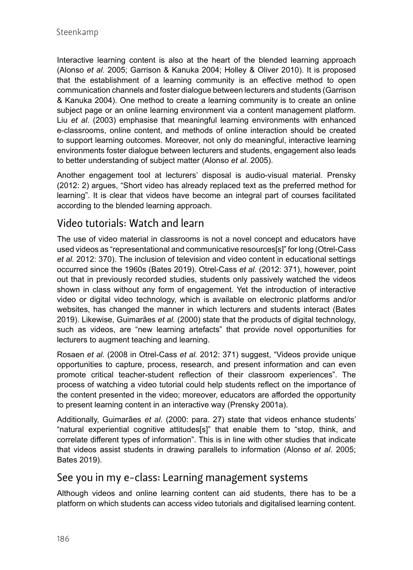Interactive learning content is also at the heart of the blended learning approach (Alonso *et al*. 2005; Garrison & Kanuka 2004; Holley & Oliver 2010). It is proposed that the establishment of a learning community is an effective method to open communication channels and foster dialogue between lecturers and students (Garrison & Kanuka 2004). One method to create a learning community is to create an online subject page or an online learning environment via a content management platform. Liu *et al*. (2003) emphasise that meaningful learning environments with enhanced e-classrooms, online content, and methods of online interaction should be created to support learning outcomes. Moreover, not only do meaningful, interactive learning environments foster dialogue between lecturers and students, engagement also leads to better understanding of subject matter (Alonso *et al*. 2005).

Another engagement tool at lecturers' disposal is audio-visual material. Prensky (2012: 2) argues, "Short video has already replaced text as the preferred method for learning". It is clear that videos have become an integral part of courses facilitated according to the blended learning approach.

### Video tutorials: Watch and learn

The use of video material in classrooms is not a novel concept and educators have used videos as "representational and communicative resources[s]" for long (Otrel-Cass *et al.* 2012: 370). The inclusion of television and video content in educational settings occurred since the 1960s (Bates 2019). Otrel-Cass *et al.* (2012: 371), however, point out that in previously recorded studies, students only passively watched the videos shown in class without any form of engagement. Yet the introduction of interactive video or digital video technology, which is available on electronic platforms and/or websites, has changed the manner in which lecturers and students interact (Bates 2019). Likewise, Guimarães *et al.* (2000) state that the products of digital technology, such as videos, are "new learning artefacts" that provide novel opportunities for lecturers to augment teaching and learning.

Rosaen *et al.* (2008 in Otrel-Cass *et al.* 2012: 371) suggest, "Videos provide unique opportunities to capture, process, research, and present information and can even promote critical teacher-student reflection of their classroom experiences". The process of watching a video tutorial could help students reflect on the importance of the content presented in the video; moreover, educators are afforded the opportunity to present learning content in an interactive way (Prensky 2001a).

Additionally, Guimarães *et al.* (2000: para. 27) state that videos enhance students' "natural experiential cognitive attitudes[s]" that enable them to "stop, think, and correlate different types of information". This is in line with other studies that indicate that videos assist students in drawing parallels to information (Alonso *et al*. 2005; Bates 2019).

#### See you in my e-class: Learning management systems

Although videos and online learning content can aid students, there has to be a platform on which students can access video tutorials and digitalised learning content.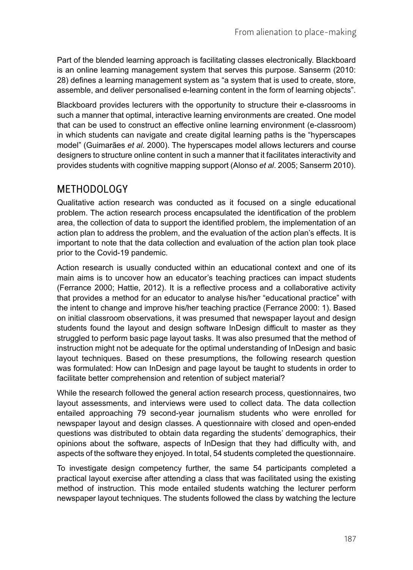Part of the blended learning approach is facilitating classes electronically. Blackboard is an online learning management system that serves this purpose. Sanserm (2010: 28) defines a learning management system as "a system that is used to create, store, assemble, and deliver personalised e-learning content in the form of learning objects".

Blackboard provides lecturers with the opportunity to structure their e-classrooms in such a manner that optimal, interactive learning environments are created. One model that can be used to construct an effective online learning environment (e-classroom) in which students can navigate and create digital learning paths is the "hyperscapes model" (Guimarães *et al.* 2000). The hyperscapes model allows lecturers and course designers to structure online content in such a manner that it facilitates interactivity and provides students with cognitive mapping support (Alonso *et al*. 2005; Sanserm 2010).

### METHODOLOGY

Qualitative action research was conducted as it focused on a single educational problem. The action research process encapsulated the identification of the problem area, the collection of data to support the identified problem, the implementation of an action plan to address the problem, and the evaluation of the action plan's effects. It is important to note that the data collection and evaluation of the action plan took place prior to the Covid-19 pandemic.

Action research is usually conducted within an educational context and one of its main aims is to uncover how an educator's teaching practices can impact students (Ferrance 2000; Hattie, 2012). It is a reflective process and a collaborative activity that provides a method for an educator to analyse his/her "educational practice" with the intent to change and improve his/her teaching practice (Ferrance 2000: 1). Based on initial classroom observations, it was presumed that newspaper layout and design students found the layout and design software InDesign difficult to master as they struggled to perform basic page layout tasks. It was also presumed that the method of instruction might not be adequate for the optimal understanding of InDesign and basic layout techniques. Based on these presumptions, the following research question was formulated: How can InDesign and page layout be taught to students in order to facilitate better comprehension and retention of subject material?

While the research followed the general action research process, questionnaires, two layout assessments, and interviews were used to collect data. The data collection entailed approaching 79 second-year journalism students who were enrolled for newspaper layout and design classes. A questionnaire with closed and open-ended questions was distributed to obtain data regarding the students' demographics, their opinions about the software, aspects of InDesign that they had difficulty with, and aspects of the software they enjoyed. In total, 54 students completed the questionnaire.

To investigate design competency further, the same 54 participants completed a practical layout exercise after attending a class that was facilitated using the existing method of instruction. This mode entailed students watching the lecturer perform newspaper layout techniques. The students followed the class by watching the lecture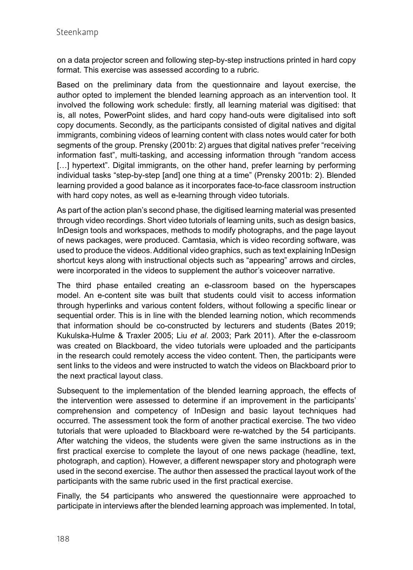on a data projector screen and following step-by-step instructions printed in hard copy format. This exercise was assessed according to a rubric.

Based on the preliminary data from the questionnaire and layout exercise, the author opted to implement the blended learning approach as an intervention tool. It involved the following work schedule: firstly, all learning material was digitised: that is, all notes, PowerPoint slides, and hard copy hand-outs were digitalised into soft copy documents. Secondly, as the participants consisted of digital natives and digital immigrants, combining videos of learning content with class notes would cater for both segments of the group. Prensky (2001b: 2) argues that digital natives prefer "receiving information fast", multi-tasking, and accessing information through "random access [...] hypertext". Digital immigrants, on the other hand, prefer learning by performing individual tasks "step-by-step [and] one thing at a time" (Prensky 2001b: 2). Blended learning provided a good balance as it incorporates face-to-face classroom instruction with hard copy notes, as well as e-learning through video tutorials.

As part of the action plan's second phase, the digitised learning material was presented through video recordings. Short video tutorials of learning units, such as design basics, InDesign tools and workspaces, methods to modify photographs, and the page layout of news packages, were produced. Camtasia, which is video recording software, was used to produce the videos. Additional video graphics, such as text explaining InDesign shortcut keys along with instructional objects such as "appearing" arrows and circles, were incorporated in the videos to supplement the author's voiceover narrative.

The third phase entailed creating an e-classroom based on the hyperscapes model. An e-content site was built that students could visit to access information through hyperlinks and various content folders, without following a specific linear or sequential order. This is in line with the blended learning notion, which recommends that information should be co-constructed by lecturers and students (Bates 2019; Kukulska-Hulme & Traxler 2005; Liu *et al*. 2003; Park 2011). After the e-classroom was created on Blackboard, the video tutorials were uploaded and the participants in the research could remotely access the video content. Then, the participants were sent links to the videos and were instructed to watch the videos on Blackboard prior to the next practical layout class.

Subsequent to the implementation of the blended learning approach, the effects of the intervention were assessed to determine if an improvement in the participants' comprehension and competency of InDesign and basic layout techniques had occurred. The assessment took the form of another practical exercise. The two video tutorials that were uploaded to Blackboard were re-watched by the 54 participants. After watching the videos, the students were given the same instructions as in the first practical exercise to complete the layout of one news package (headline, text, photograph, and caption). However, a different newspaper story and photograph were used in the second exercise. The author then assessed the practical layout work of the participants with the same rubric used in the first practical exercise.

Finally, the 54 participants who answered the questionnaire were approached to participate in interviews after the blended learning approach was implemented. In total,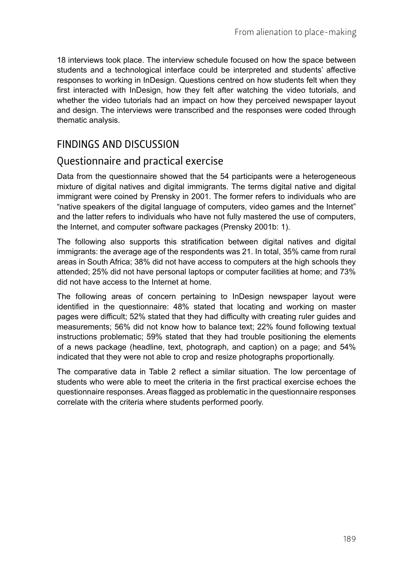18 interviews took place. The interview schedule focused on how the space between students and a technological interface could be interpreted and students' affective responses to working in InDesign. Questions centred on how students felt when they first interacted with InDesign, how they felt after watching the video tutorials, and whether the video tutorials had an impact on how they perceived newspaper layout and design. The interviews were transcribed and the responses were coded through thematic analysis.

### FINDINGS AND DISCUSSION

#### Questionnaire and practical exercise

Data from the questionnaire showed that the 54 participants were a heterogeneous mixture of digital natives and digital immigrants. The terms digital native and digital immigrant were coined by Prensky in 2001. The former refers to individuals who are "native speakers of the digital language of computers, video games and the Internet" and the latter refers to individuals who have not fully mastered the use of computers, the Internet, and computer software packages (Prensky 2001b: 1).

The following also supports this stratification between digital natives and digital immigrants: the average age of the respondents was 21. In total, 35% came from rural areas in South Africa; 38% did not have access to computers at the high schools they attended; 25% did not have personal laptops or computer facilities at home; and 73% did not have access to the Internet at home.

The following areas of concern pertaining to InDesign newspaper layout were identified in the questionnaire: 48% stated that locating and working on master pages were difficult; 52% stated that they had difficulty with creating ruler guides and measurements; 56% did not know how to balance text; 22% found following textual instructions problematic; 59% stated that they had trouble positioning the elements of a news package (headline, text, photograph, and caption) on a page; and 54% indicated that they were not able to crop and resize photographs proportionally.

The comparative data in Table 2 reflect a similar situation. The low percentage of students who were able to meet the criteria in the first practical exercise echoes the questionnaire responses. Areas flagged as problematic in the questionnaire responses correlate with the criteria where students performed poorly.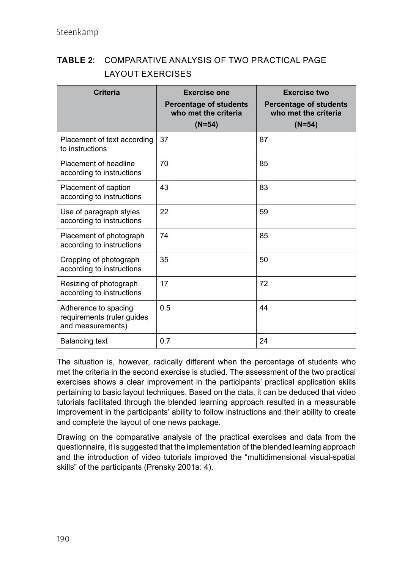#### **TABLE 2**: COMPARATIVE ANALYSIS OF TWO PRACTICAL PAGE LAYOUT EXERCISES

| <b>Criteria</b>                                                         | <b>Exercise one</b><br><b>Percentage of students</b><br>who met the criteria<br>$(N=54)$ | <b>Exercise two</b><br><b>Percentage of students</b><br>who met the criteria<br>$(N=54)$ |
|-------------------------------------------------------------------------|------------------------------------------------------------------------------------------|------------------------------------------------------------------------------------------|
| Placement of text according<br>to instructions                          | 37                                                                                       | 87                                                                                       |
| Placement of headline<br>according to instructions                      | 70                                                                                       | 85                                                                                       |
| Placement of caption<br>according to instructions                       | 43                                                                                       | 83                                                                                       |
| Use of paragraph styles<br>according to instructions                    | 22                                                                                       | 59                                                                                       |
| Placement of photograph<br>according to instructions                    | 74                                                                                       | 85                                                                                       |
| Cropping of photograph<br>according to instructions                     | 35                                                                                       | 50                                                                                       |
| Resizing of photograph<br>according to instructions                     | 17                                                                                       | 72                                                                                       |
| Adherence to spacing<br>requirements (ruler guides<br>and measurements) | 0.5                                                                                      | 44                                                                                       |
| <b>Balancing text</b>                                                   | 0.7                                                                                      | 24                                                                                       |

The situation is, however, radically different when the percentage of students who met the criteria in the second exercise is studied. The assessment of the two practical exercises shows a clear improvement in the participants' practical application skills pertaining to basic layout techniques. Based on the data, it can be deduced that video tutorials facilitated through the blended learning approach resulted in a measurable improvement in the participants' ability to follow instructions and their ability to create and complete the layout of one news package.

Drawing on the comparative analysis of the practical exercises and data from the questionnaire, it is suggested that the implementation of the blended learning approach and the introduction of video tutorials improved the "multidimensional visual-spatial skills" of the participants (Prensky 2001a: 4).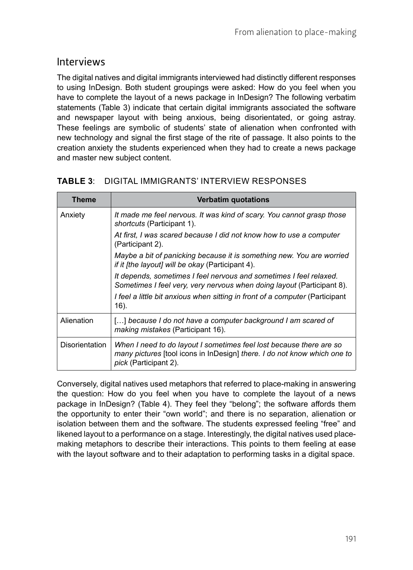#### Interviews

The digital natives and digital immigrants interviewed had distinctly different responses to using InDesign. Both student groupings were asked: How do you feel when you have to complete the layout of a news package in InDesign? The following verbatim statements (Table 3) indicate that certain digital immigrants associated the software and newspaper layout with being anxious, being disorientated, or going astray. These feelings are symbolic of students' state of alienation when confronted with new technology and signal the first stage of the rite of passage. It also points to the creation anxiety the students experienced when they had to create a news package and master new subject content.

| Theme                 | <b>Verbatim quotations</b>                                                                                                                                               |
|-----------------------|--------------------------------------------------------------------------------------------------------------------------------------------------------------------------|
| Anxiety               | It made me feel nervous. It was kind of scary. You cannot grasp those<br><i>shortcuts</i> (Participant 1).                                                               |
|                       | At first, I was scared because I did not know how to use a computer<br>(Participant 2).                                                                                  |
|                       | Maybe a bit of panicking because it is something new. You are worried<br><i>if it [the layout] will be okay (Participant 4).</i>                                         |
|                       | It depends, sometimes I feel nervous and sometimes I feel relaxed.<br>Sometimes I feel very, very nervous when doing layout (Participant 8).                             |
|                       | I feel a little bit anxious when sitting in front of a computer (Participant<br>16).                                                                                     |
| Alienation            | [] because I do not have a computer background I am scared of<br><i>making mistakes</i> (Participant 16).                                                                |
| <b>Disorientation</b> | When I need to do layout I sometimes feel lost because there are so<br>many pictures [tool icons in InDesign] there. I do not know which one to<br>pick (Participant 2). |

#### **TABLE 3**: DIGITAL IMMIGRANTS' INTERVIEW RESPONSES

Conversely, digital natives used metaphors that referred to place-making in answering the question: How do you feel when you have to complete the layout of a news package in InDesign? (Table 4). They feel they "belong"; the software affords them the opportunity to enter their "own world"; and there is no separation, alienation or isolation between them and the software. The students expressed feeling "free" and likened layout to a performance on a stage. Interestingly, the digital natives used placemaking metaphors to describe their interactions. This points to them feeling at ease with the layout software and to their adaptation to performing tasks in a digital space.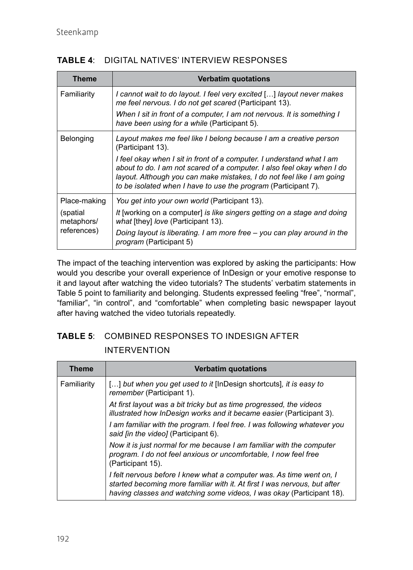| <b>Theme</b>                          | <b>Verbatim quotations</b>                                                                                                                                                                                                                                                                 |
|---------------------------------------|--------------------------------------------------------------------------------------------------------------------------------------------------------------------------------------------------------------------------------------------------------------------------------------------|
| Familiarity                           | I cannot wait to do layout. I feel very excited [] layout never makes<br>me feel nervous. I do not get scared (Participant 13).                                                                                                                                                            |
|                                       | When I sit in front of a computer. I am not nervous. It is something I<br>have been using for a while (Participant 5).                                                                                                                                                                     |
| Belonging                             | Layout makes me feel like I belong because I am a creative person<br>(Participant 13).                                                                                                                                                                                                     |
|                                       | I feel okay when I sit in front of a computer. I understand what I am<br>about to do. I am not scared of a computer. I also feel okay when I do<br>layout. Although you can make mistakes, I do not feel like I am going<br>to be isolated when I have to use the program (Participant 7). |
| Place-making                          | You get into your own world (Participant 13).                                                                                                                                                                                                                                              |
| (spatial<br>metaphors/<br>references) | It [working on a computer] is like singers getting on a stage and doing<br>what [they] love (Participant 13).                                                                                                                                                                              |
|                                       | Doing layout is liberating. I am more free – you can play around in the<br><i>program</i> (Participant 5)                                                                                                                                                                                  |

The impact of the teaching intervention was explored by asking the participants: How would you describe your overall experience of InDesign or your emotive response to it and layout after watching the video tutorials? The students' verbatim statements in Table 5 point to familiarity and belonging. Students expressed feeling "free", "normal", "familiar", "in control", and "comfortable" when completing basic newspaper layout after having watched the video tutorials repeatedly.

#### **TABLE 5**: COMBINED RESPONSES TO INDESIGN AFTER INTERVENTION

| <b>Theme</b> | <b>Verbatim quotations</b>                                                                                                                                                                                                 |
|--------------|----------------------------------------------------------------------------------------------------------------------------------------------------------------------------------------------------------------------------|
| Familiarity  | [] but when you get used to it [InDesign shortcuts], it is easy to<br>remember (Participant 1).                                                                                                                            |
|              | At first layout was a bit tricky but as time progressed, the videos<br>illustrated how InDesign works and it became easier (Participant 3).                                                                                |
|              | I am familiar with the program. I feel free. I was following whatever you<br>said [in the video] (Participant 6).                                                                                                          |
|              | Now it is just normal for me because I am familiar with the computer<br>program. I do not feel anxious or uncomfortable. I now feel free<br>(Participant 15).                                                              |
|              | I felt nervous before I knew what a computer was. As time went on, I<br>started becoming more familiar with it. At first I was nervous, but after<br>having classes and watching some videos, I was okay (Participant 18). |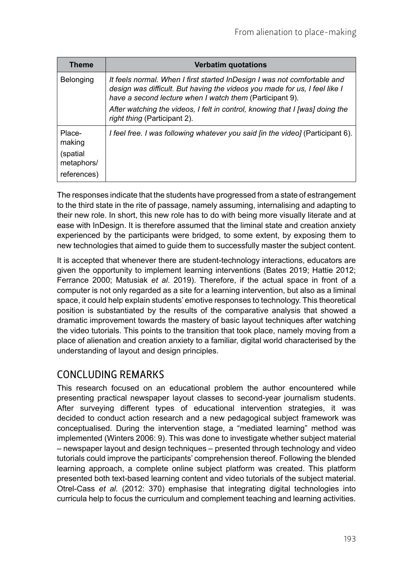| <b>Theme</b>                          | <b>Verbatim quotations</b>                                                                                                                                                                                         |
|---------------------------------------|--------------------------------------------------------------------------------------------------------------------------------------------------------------------------------------------------------------------|
| Belonging                             | It feels normal. When I first started InDesign I was not comfortable and<br>design was difficult. But having the videos you made for us, I feel like I<br>have a second lecture when I watch them (Participant 9). |
|                                       | After watching the videos, I felt in control, knowing that I [was] doing the<br>right thing (Participant 2).                                                                                                       |
| Place-<br>making                      | I feel free. I was following whatever you said [in the video] (Participant 6).                                                                                                                                     |
| (spatial<br>metaphors/<br>references) |                                                                                                                                                                                                                    |

The responses indicate that the students have progressed from a state of estrangement to the third state in the rite of passage, namely assuming, internalising and adapting to their new role. In short, this new role has to do with being more visually literate and at ease with InDesign. It is therefore assumed that the liminal state and creation anxiety experienced by the participants were bridged, to some extent, by exposing them to new technologies that aimed to guide them to successfully master the subject content.

It is accepted that whenever there are student-technology interactions, educators are given the opportunity to implement learning interventions (Bates 2019; Hattie 2012; Ferrance 2000; Matusiak *et al*. 2019). Therefore, if the actual space in front of a computer is not only regarded as a site for a learning intervention, but also as a liminal space, it could help explain students' emotive responses to technology. This theoretical position is substantiated by the results of the comparative analysis that showed a dramatic improvement towards the mastery of basic layout techniques after watching the video tutorials. This points to the transition that took place, namely moving from a place of alienation and creation anxiety to a familiar, digital world characterised by the understanding of layout and design principles.

## CONCLUDING REMARKS

This research focused on an educational problem the author encountered while presenting practical newspaper layout classes to second-year journalism students. After surveying different types of educational intervention strategies, it was decided to conduct action research and a new pedagogical subject framework was conceptualised. During the intervention stage, a "mediated learning" method was implemented (Winters 2006: 9). This was done to investigate whether subject material – newspaper layout and design techniques – presented through technology and video tutorials could improve the participants' comprehension thereof. Following the blended learning approach, a complete online subject platform was created. This platform presented both text-based learning content and video tutorials of the subject material. Otrel-Cass *et al.* (2012: 370) emphasise that integrating digital technologies into curricula help to focus the curriculum and complement teaching and learning activities.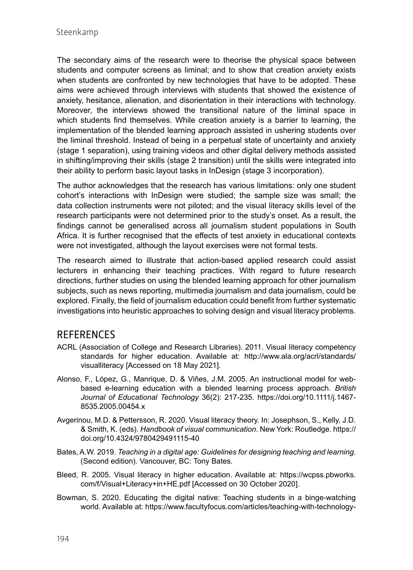The secondary aims of the research were to theorise the physical space between students and computer screens as liminal; and to show that creation anxiety exists when students are confronted by new technologies that have to be adopted. These aims were achieved through interviews with students that showed the existence of anxiety, hesitance, alienation, and disorientation in their interactions with technology. Moreover, the interviews showed the transitional nature of the liminal space in which students find themselves. While creation anxiety is a barrier to learning, the implementation of the blended learning approach assisted in ushering students over the liminal threshold. Instead of being in a perpetual state of uncertainty and anxiety (stage 1 separation), using training videos and other digital delivery methods assisted in shifting/improving their skills (stage 2 transition) until the skills were integrated into their ability to perform basic layout tasks in InDesign (stage 3 incorporation).

The author acknowledges that the research has various limitations: only one student cohort's interactions with InDesign were studied; the sample size was small; the data collection instruments were not piloted; and the visual literacy skills level of the research participants were not determined prior to the study's onset. As a result, the findings cannot be generalised across all journalism student populations in South Africa. It is further recognised that the effects of test anxiety in educational contexts were not investigated, although the layout exercises were not formal tests.

The research aimed to illustrate that action-based applied research could assist lecturers in enhancing their teaching practices. With regard to future research directions, further studies on using the blended learning approach for other journalism subjects, such as news reporting, multimedia journalism and data journalism, could be explored. Finally, the field of journalism education could benefit from further systematic investigations into heuristic approaches to solving design and visual literacy problems.

#### **REFERENCES**

- ACRL (Association of College and Research Libraries). 2011. Visual literacy competency standards for higher education. Available at: [http://www.ala.org/acrl/standards/](http://www.ala.org/acrl/standards/visualliteracy) [visualliteracy](http://www.ala.org/acrl/standards/visualliteracy) [Accessed on 18 May 2021].
- Alonso, F., López, G., Manrique, D. & Viñes, J.M. 2005. An instructional model for webbased e-learning education with a blended learning process approach. *British Journal of Educational Technology* 36(2): 217-235. [https://doi.org/10.1111/j.1467-](https://doi.org/10.1111/j.1467-8535.2005.00454.x) [8535.2005.00454.x](https://doi.org/10.1111/j.1467-8535.2005.00454.x)
- Avgerinou, M.D. & Pettersson, R. 2020. Visual literacy theory. In: Josephson, S., Kelly, J.D. & Smith, K. (eds). *Handbook of visual communication*. New York: Routledge. [https://](https://doi.org/10.4324/9780429491115-40) [doi.org/10.4324/9780429491115-40](https://doi.org/10.4324/9780429491115-40)
- Bates, A.W. 2019. *Teaching in a digital age: Guidelines for designing teaching and learning*. (Second edition). Vancouver, BC: Tony Bates.
- Bleed, R. 2005. Visual literacy in higher education. Available at: [https://wcpss.pbworks.](https://wcpss.pbworks.com/f/Visual+Literacy+in+HE.pdf) [com/f/Visual+Literacy+in+HE.pdf](https://wcpss.pbworks.com/f/Visual+Literacy+in+HE.pdf) [Accessed on 30 October 2020].
- Bowman, S. 2020. Educating the digital native: Teaching students in a binge-watching world. Available at: [https://www.facultyfocus.com/articles/teaching-with-technology-](https://www.facultyfocus.com/articles/teaching-with-technology-articles/educating-the-digital-native-teaching-students-in-a-binge-watching-world/)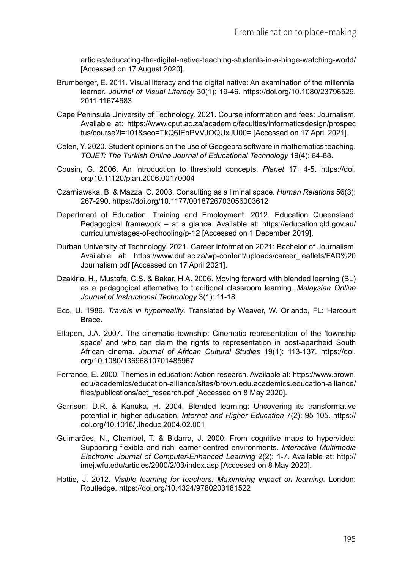[articles/educating-the-digital-native-teaching-students-in-a-binge-watching-world/](https://www.facultyfocus.com/articles/teaching-with-technology-articles/educating-the-digital-native-teaching-students-in-a-binge-watching-world/) [Accessed on 17 August 2020].

- Brumberger, E. 2011. Visual literacy and the digital native: An examination of the millennial learner. *Journal of Visual Literacy* 30(1): 19-46. [https://doi.org/10.1080/23796529.](https://doi.org/10.1080/23796529.2011.11674683) [2011.11674683](https://doi.org/10.1080/23796529.2011.11674683)
- Cape Peninsula University of Technology. 2021. Course information and fees: Journalism. Available at: [https://www.cput.ac.za/academic/faculties/informaticsdesign/prospec](https://www.cput.ac.za/academic/faculties/informaticsdesign/prospectus/course?i=101&seo=TkQ6IEpPVVJOQUxJU00=) [tus/course?i=101&seo=TkQ6IEpPVVJOQUxJU00=](https://www.cput.ac.za/academic/faculties/informaticsdesign/prospectus/course?i=101&seo=TkQ6IEpPVVJOQUxJU00=) [Accessed on 17 April 2021].
- Celen, Y. 2020. Student opinions on the use of Geogebra software in mathematics teaching. *TOJET: The Turkish Online Journal of Educational Technology* 19(4): 84-88.
- Cousin, G. 2006. An introduction to threshold concepts. *Planet* 17: 4-5. [https://doi.](https://doi.org/10.11120/plan.2006.00170004) [org/10.11120/plan.2006.00170004](https://doi.org/10.11120/plan.2006.00170004)
- Czarniawska, B. & Mazza, C. 2003. Consulting as a liminal space. *Human Relations* 56(3): 267-290.<https://doi.org/10.1177/0018726703056003612>
- Department of Education, Training and Employment. 2012. Education Queensland: Pedagogical framework – at a glance. Available at: [https://education.qld.gov.au/](https://education.qld.gov.au/curriculum/stages-of-schooling/p-12) [curriculum/stages-of-schooling/p-12](https://education.qld.gov.au/curriculum/stages-of-schooling/p-12) [Accessed on 1 December 2019].
- Durban University of Technology. 2021. Career information 2021: Bachelor of Journalism. Available at: [https://www.dut.ac.za/wp-content/uploads/career\\_leaflets/FAD%20](https://www.dut.ac.za/wp-content/uploads/career_leaflets/FAD%20Journalism.pdf) [Journalism.pdf](https://www.dut.ac.za/wp-content/uploads/career_leaflets/FAD%20Journalism.pdf) [Accessed on 17 April 2021].
- Dzakiria, H., Mustafa, C.S. & Bakar, H.A. 2006. Moving forward with blended learning (BL) as a pedagogical alternative to traditional classroom learning. *Malaysian Online Journal of Instructional Technology* 3(1): 11-18.
- Eco, U. 1986. *Travels in hyperreality*. Translated by Weaver, W. Orlando, FL: Harcourt Brace.
- Ellapen, J.A. 2007. The cinematic township: Cinematic representation of the 'township space' and who can claim the rights to representation in post-apartheid South African cinema. *Journal of African Cultural Studies* 19(1): 113-137. [https://doi.](https://doi.org/10.1080/13696810701485967) [org/10.1080/13696810701485967](https://doi.org/10.1080/13696810701485967)
- Ferrance, E. 2000. Themes in education: Action research. Available at: [https://www.brown.](https://www.brown.edu/academics/education-alliance/sites/brown.edu.academics.education-alliance/files/publications/act_research.pdf) [edu/academics/education-alliance/sites/brown.edu.academics.education-alliance/](https://www.brown.edu/academics/education-alliance/sites/brown.edu.academics.education-alliance/files/publications/act_research.pdf) [files/publications/act\\_research.pdf](https://www.brown.edu/academics/education-alliance/sites/brown.edu.academics.education-alliance/files/publications/act_research.pdf) [Accessed on 8 May 2020].
- Garrison, D.R. & Kanuka, H. 2004. Blended learning: Uncovering its transformative potential in higher education. *Internet and Higher Education* 7(2): 95-105. [https://](https://doi.org/10.1016/j.iheduc.2004.02.001) [doi.org/10.1016/j.iheduc.2004.02.001](https://doi.org/10.1016/j.iheduc.2004.02.001)
- Guimarães, N., Chambel, T. & Bidarra, J. 2000. From cognitive maps to hypervideo: Supporting flexible and rich learner-centred environments. *Interactive Multimedia Electronic Journal of Computer-Enhanced Learning* 2(2): 1-7. Available at: [http://](http://imej.wfu.edu/articles/2000/2/03/index.asp) [imej.wfu.edu/articles/2000/2/03/index.asp](http://imej.wfu.edu/articles/2000/2/03/index.asp) [Accessed on 8 May 2020].
- Hattie, J. 2012. *Visible learning for teachers: Maximising impact on learning*. London: Routledge.<https://doi.org/10.4324/9780203181522>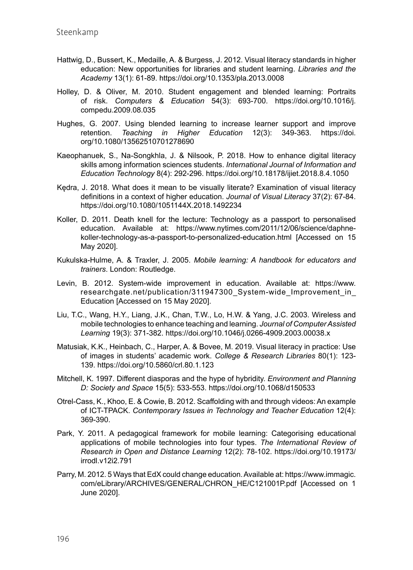- Hattwig, D., Bussert, K., Medaille, A. & Burgess, J. 2012. Visual literacy standards in higher education: New opportunities for libraries and student learning. *Libraries and the Academy* 13(1): 61-89.<https://doi.org/10.1353/pla.2013.0008>
- Holley, D. & Oliver, M. 2010. Student engagement and blended learning: Portraits of risk. *Computers & Education* 54(3): 693-700. [https://doi.org/10.1016/j.](https://doi.org/10.1016/j.compedu.2009.08.035) [compedu.2009.08.035](https://doi.org/10.1016/j.compedu.2009.08.035)
- Hughes, G. 2007. Using blended learning to increase learner support and improve retention. *Teaching in Higher Education* 12(3): 349-363. [https://doi.](https://doi.org/10.1080/13562510701278690) [org/10.1080/13562510701278690](https://doi.org/10.1080/13562510701278690)
- Kaeophanuek, S., Na-Songkhla, J. & Nilsook, P. 2018. How to enhance digital literacy skills among information sciences students. *International Journal of Information and Education Technology* 8(4): 292-296.<https://doi.org/10.18178/ijiet.2018.8.4.1050>
- Kędra, J. 2018. What does it mean to be visually literate? Examination of visual literacy definitions in a context of higher education. *Journal of Visual Literacy* 37(2): 67-84. <https://doi.org/10.1080/1051144X.2018.1492234>
- Koller, D. 2011. Death knell for the lecture: Technology as a passport to personalised education. Available at: [https://www.nytimes.com/2011/12/06/science/daphne](https://www.nytimes.com/2011/12/06/science/daphne-koller-technology-as-a-passport-to-personalized-education.html)[koller-technology-as-a-passport-to-personalized-education.html](https://www.nytimes.com/2011/12/06/science/daphne-koller-technology-as-a-passport-to-personalized-education.html) [Accessed on 15 May 2020].
- Kukulska-Hulme, A. & Traxler, J. 2005. *Mobile learning: A handbook for educators and trainers*. London: Routledge.
- Levin, B. 2012. System-wide improvement in education. Available at: [https://www.](https://www.researchgate.net/publication/311947300_System-wide_Improvement_in_Education) researchgate.net/publication/311947300 System-wide Improvement in [Education](https://www.researchgate.net/publication/311947300_System-wide_Improvement_in_Education) [Accessed on 15 May 2020].
- Liu, T.C., Wang, H.Y., Liang, J.K., Chan, T.W., Lo, H.W. & Yang, J.C. 2003. Wireless and mobile technologies to enhance teaching and learning. *Journal of Computer Assisted Learning* 19(3): 371-382. <https://doi.org/10.1046/j.0266-4909.2003.00038.x>
- Matusiak, K.K., Heinbach, C., Harper, A. & Bovee, M. 2019. Visual literacy in practice: Use of images in students' academic work. *College & Research Libraries* 80(1): 123- 139.<https://doi.org/10.5860/crl.80.1.123>
- Mitchell, K. 1997. Different diasporas and the hype of hybridity. *Environment and Planning D: Society and Space* 15(5): 533-553.<https://doi.org/10.1068/d150533>
- Otrel-Cass, K., Khoo, E. & Cowie, B. 2012. Scaffolding with and through videos: An example of ICT-TPACK. *Contemporary Issues in Technology and Teacher Education* 12(4): 369-390.
- Park, Y. 2011. A pedagogical framework for mobile learning: Categorising educational applications of mobile technologies into four types. *The International Review of Research in Open and Distance Learning* 12(2): 78-102. [https://doi.org/10.19173/](https://doi.org/10.19173/irrodl.v12i2.791) [irrodl.v12i2.791](https://doi.org/10.19173/irrodl.v12i2.791)
- Parry, M. 2012. 5 Ways that EdX could change education. Available at: [https://www.immagic.](https://www.immagic.com/eLibrary/ARCHIVES/GENERAL/CHRON_HE/C121001P.pdf) [com/eLibrary/ARCHIVES/GENERAL/CHRON\\_HE/C121001P.pdf](https://www.immagic.com/eLibrary/ARCHIVES/GENERAL/CHRON_HE/C121001P.pdf) [Accessed on 1 June 2020].